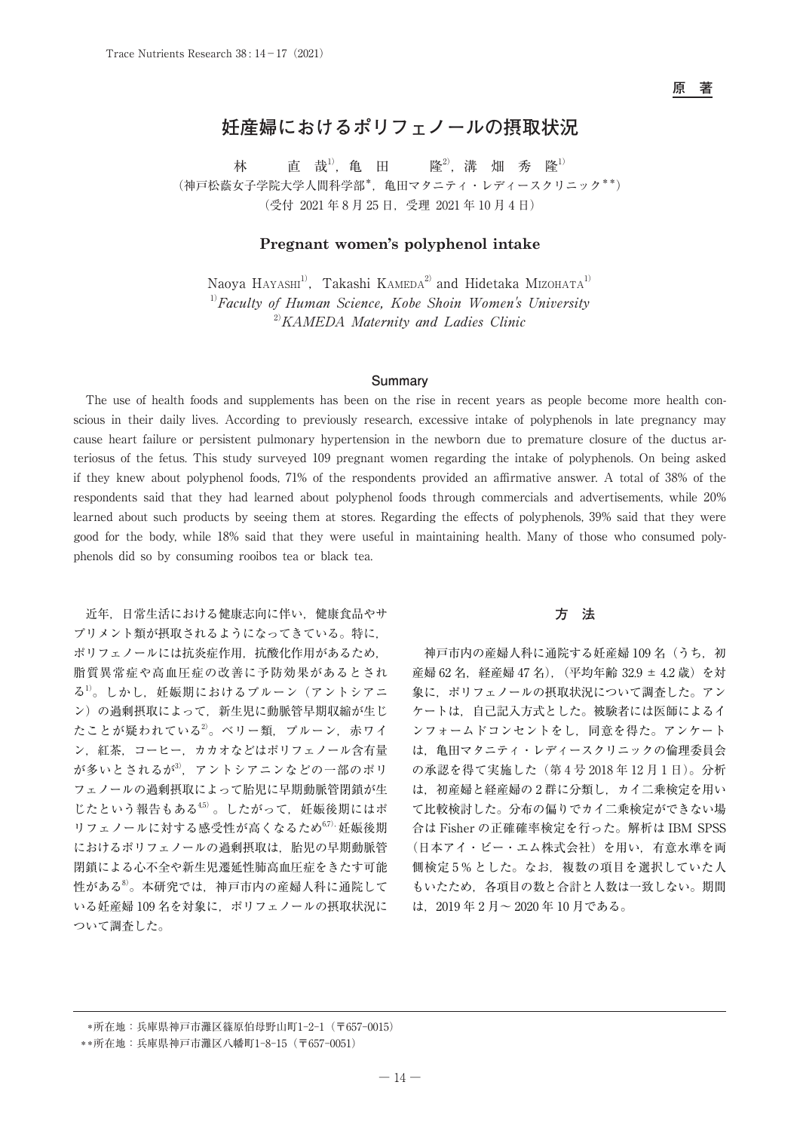**原 著**

# **妊産婦におけるポリフェノールの摂取状況**

林 直 哉<sup>1)</sup>, 亀 田 隆<sup>2)</sup>, 溝 畑 秀 隆<sup>1)</sup> (神戸松蔭女子学院大学人間科学部\*,亀田マタニティ・レディースクリニック\*\*) (受付 2021 年 8 月 25 日,受理 2021 年 10 月 4 日)

## **Pregnant women's polyphenol intake**

Naoya Hayashi<sup>1)</sup>, Takashi Kameda<sup>2)</sup> and Hidetaka Mizohata<sup>1)</sup>  $1)$ Faculty of Human Science, Kobe Shoin Women's University  $^{20}$ KAMEDA Maternity and Ladies Clinic

### **Summary**

The use of health foods and supplements has been on the rise in recent years as people become more health conscious in their daily lives. According to previously research, excessive intake of polyphenols in late pregnancy may cause heart failure or persistent pulmonary hypertension in the newborn due to premature closure of the ductus arteriosus of the fetus. This study surveyed 109 pregnant women regarding the intake of polyphenols. On being asked if they knew about polyphenol foods, 71% of the respondents provided an affirmative answer. A total of 38% of the respondents said that they had learned about polyphenol foods through commercials and advertisements, while 20% learned about such products by seeing them at stores. Regarding the effects of polyphenols, 39% said that they were good for the body, while 18% said that they were useful in maintaining health. Many of those who consumed polyphenols did so by consuming rooibos tea or black tea.

近年,日常生活における健康志向に伴い,健康食品やサ プリメント類が摂取されるようになってきている。特に, ポリフェノールには抗炎症作用,抗酸化作用があるため, 脂質異常症や高血圧症の改善に予防効果があるとされ る<sup>1)</sup>。しかし,妊娠期におけるプルーン(アントシアニ ン)の過剰摂取によって,新生児に動脈管早期収縮が生じ たことが疑われている2。ベリー類、プルーン,赤ワイ ン,紅茶,コーヒー,カカオなどはポリフェノール含有量 が多いとされるが3), アントシアニンなどの一部のポリ フェノールの過剰摂取によって胎児に早期動脈管閉鎖が生 じたという報告もある45)。したがって、妊娠後期にはポ リフェノールに対する感受性が高くなるため67),妊娠後期 におけるポリフェノールの過剰摂取は,胎児の早期動脈管 閉鎖による心不全や新生児遷延性肺高血圧症をきたす可能 性がある8)。本研究では、神戸市内の産婦人科に通院して いる妊産婦 109 名を対象に,ポリフェノールの摂取状況に ついて調査した。

## **方 法**

神戸市内の産婦人科に通院する妊産婦 109名(うち,初 産婦 62 名, 経産婦 47 名), (平均年齢 32.9 ± 4.2 歳) を対 象に,ポリフェノールの摂取状況について調査した。アン ケートは,自己記入方式とした。被験者には医師によるイ ンフォームドコンセントをし,同意を得た。アンケート は,亀田マタニティ・レディースクリニックの倫理委員会 の承認を得て実施した(第 4 号 2018 年 12 月 1 日)。分析 は,初産婦と経産婦の 2 群に分類し,カイ二乗検定を用い て比較検討した。分布の偏りでカイ二乗検定ができない場 合は Fisher の正確確率検定を行った。解析は IBM SPSS (日本アイ・ビー・エム株式会社)を用い,有意水準を両 側検定 5 % とした。なお,複数の項目を選択していた人 もいたため,各項目の数と合計と人数は一致しない。期間 は,2019 年 2 月~ 2020 年 10 月である。

 <sup>\*</sup>所在地:兵庫県神戸市灘区篠原伯母野山町1-2-1(〒657-0015)

 <sup>\*\*</sup>所在地:兵庫県神戸市灘区八幡町1-8-15(〒657-0051)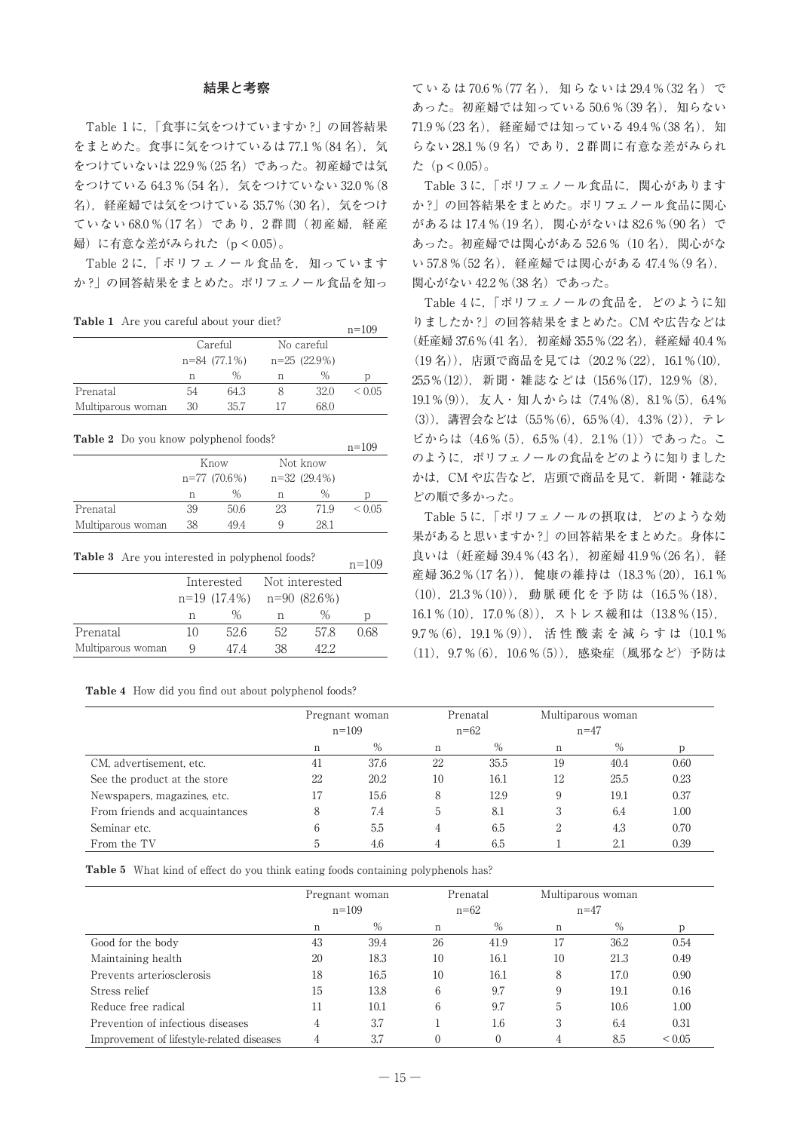#### **結果と考察**

Table 1 に,「食事に気をつけていますか ?」の回答結果 をまとめた。食事に気をつけているは 77.1 % (84 名), 気 をつけていないは 22.9 %(25 名)であった。初産婦では気 をつけている 64.3 %(54 名),気をつけていない 32.0 %(8 名),経産婦では気をつけている 35.7%(30 名),気をつけ ていない 68.0 %(17 名)であり,2 群間(初産婦,経産 婦)に有意な差がみられた(p < 0.05)。

Table 2 に,「ポリフェノール食品を,知っています か ?」の回答結果をまとめた。ポリフェノール食品を知っ

**Table 1** Are you careful about your diet?  $n=109$ 

|                   |                |         |                |      | $11 \quad 10J$ |
|-------------------|----------------|---------|----------------|------|----------------|
|                   |                | Careful | No careful     |      |                |
|                   | $n=84$ (77.1%) |         | $n=25(22.9\%)$ |      |                |
|                   | n              | ℅       | n              | $\%$ | D              |
| Prenatal          | 54             | 64.3    |                | 32.0 | ${}_{0.05}$    |
| Multiparous woman | 30             | 35.7    |                | 68.0 |                |
|                   |                |         |                |      |                |

**Table 2** Do you know polyphenol foods?  $n=109$ 

|                   |    |                |                |      |  | .           |
|-------------------|----|----------------|----------------|------|--|-------------|
|                   |    | Know           | Not know       |      |  |             |
|                   |    | $n=77$ (70.6%) | $n=32(29.4\%)$ |      |  |             |
|                   | n  | $\%$           | n              | $\%$ |  | D           |
| Prenatal          | 39 | 50.6           | 23             | 71.9 |  | ${}_{0.05}$ |
| Multiparous woman | 38 | 494            | Q              | 28.1 |  |             |

**Table 3** Are you interested in polyphenol foods?  $n=109$ 

|                   |              | Interested | Not interested |      |      |
|-------------------|--------------|------------|----------------|------|------|
|                   | n=19 (17.4%) |            | n=90 (82.6%)   |      |      |
|                   | n            | ℅          | n              | $\%$ | D    |
| Prenatal          | 10           | 52.6       | 52             | 578  | 0.68 |
| Multiparous woman | Q            | 474        | 38             | 422  |      |
|                   |              |            |                |      |      |

| Table 4 How did you find out about polyphenol foods? |  |  |  |  |  |  |  |  |  |
|------------------------------------------------------|--|--|--|--|--|--|--|--|--|
|------------------------------------------------------|--|--|--|--|--|--|--|--|--|

ているは 70.6 % (77 名), 知らないは 29.4 % (32 名)で あった。初産婦では知っている 50.6 % (39 名), 知らない 71.9%(23名), 経産婦では知っている 49.4%(38名), 知 らない 28.1 %(9 名)であり,2 群間に有意な差がみられ た $(p < 0.05)$ 。

Table 3 に,「ポリフェノール食品に,関心があります か ?」の回答結果をまとめた。ポリフェノール食品に関心 があるは 17.4% (19名), 関心がないは 82.6 % (90名)で あった。初産婦では関心がある 52.6 %(10 名),関心がな い 57.8 %(52 名),経産婦では関心がある 47.4 %(9 名), 関心がない 42.2 %(38 名)であった。

Table 4 に,「ポリフェノールの食品を,どのように知 りましたか ?」の回答結果をまとめた。CM や広告などは (妊産婦 37.6 % (41 名), 初産婦 35.5 % (22 名), 経産婦 40.4 % (19 名)),店頭で商品を見ては(20.2 %(22),16.1 %(10), 25.5%(12)), 新聞・雑誌などは(15.6%(17), 12.9% (8), 19.1%(9)),友人・知人からは(7.4%(8),8.1%(5),6.4% (3)),講習会などは(5.5%(6),6.5%(4),4.3%(2)),テレ ビからは(4.6%(5),6.5%(4),2.1%(1))であった。こ のように、ポリフェノールの食品をどのように知りました かは、CM や広告など、店頭で商品を見て、新聞・雑誌な どの順で多かった。

Table 5 に,「ポリフェノールの摂取は,どのような効 果があると思いますか ?」 の回答結果をまとめた。身体に 良いは(妊産婦 39.4 %(43 名),初産婦 41.9 %(26 名),経 産婦 36.2%(17名)), 健康の維持は (18.3%(20), 16.1% (10),21.3 %(10)), 動 脈 硬 化 を 予 防 は(16.5 %(18), 16.1 % (10), 17.0 % (8)), ストレス緩和は (13.8 % (15), 9.7%(6), 19.1%(9)), 活性酸素を減らすは(10.1% (11),9.7 %(6),10.6 %(5)),感染症(風邪など)予防は

|                                | Pregnant woman<br>$n = 109$ |      | Prenatal<br>$n=62$ |      | Multiparous woman<br>$n=47$ |      |      |
|--------------------------------|-----------------------------|------|--------------------|------|-----------------------------|------|------|
|                                | n                           | $\%$ | n                  | %    | n                           | $\%$ |      |
| CM, advertisement, etc.        | 41                          | 37.6 | 22                 | 35.5 | 19                          | 40.4 | 0.60 |
| See the product at the store   | 22                          | 20.2 | 10                 | 16.1 | 12                          | 25.5 | 0.23 |
| Newspapers, magazines, etc.    | 17                          | 15.6 | 8                  | 12.9 | 9                           | 19.1 | 0.37 |
| From friends and acquaintances | 8                           | 7.4  | 5                  | 8.1  | 3                           | 6.4  | 1.00 |
| Seminar etc.                   | 6                           | 5.5  | 4                  | 6.5  | 2                           | 4.3  | 0.70 |
| From the TV                    | b                           | 4.6  |                    | 6.5  |                             | 2.1  | 0.39 |

**Table 5** What kind of effect do you think eating foods containing polyphenols has?

|                                           | Pregnant woman |           |          | Prenatal |          | Multiparous woman |             |
|-------------------------------------------|----------------|-----------|----------|----------|----------|-------------------|-------------|
|                                           |                | $n = 109$ | $n = 62$ |          | $n = 47$ |                   |             |
|                                           | n              | $\%$      | n        | $\%$     | n        | %                 | D           |
| Good for the body                         | 43             | 39.4      | 26       | 41.9     | 17       | 36.2              | 0.54        |
| Maintaining health                        | 20             | 18.3      | 10       | 16.1     | 10       | 21.3              | 0.49        |
| Prevents arteriosclerosis                 | 18             | 16.5      | 10       | 16.1     | 8        | 17.0              | 0.90        |
| Stress relief                             | 15             | 13.8      | 6        | 9.7      | 9        | 19.1              | 0.16        |
| Reduce free radical                       | 11             | 10.1      | 6        | 9.7      | 5        | 10.6              | 1.00        |
| Prevention of infectious diseases         | 4              | 3.7       |          | 1.6      | 3        | 6.4               | 0.31        |
| Improvement of lifestyle-related diseases |                | 3.7       | $\Omega$ |          |          | 8.5               | ${}_{0.05}$ |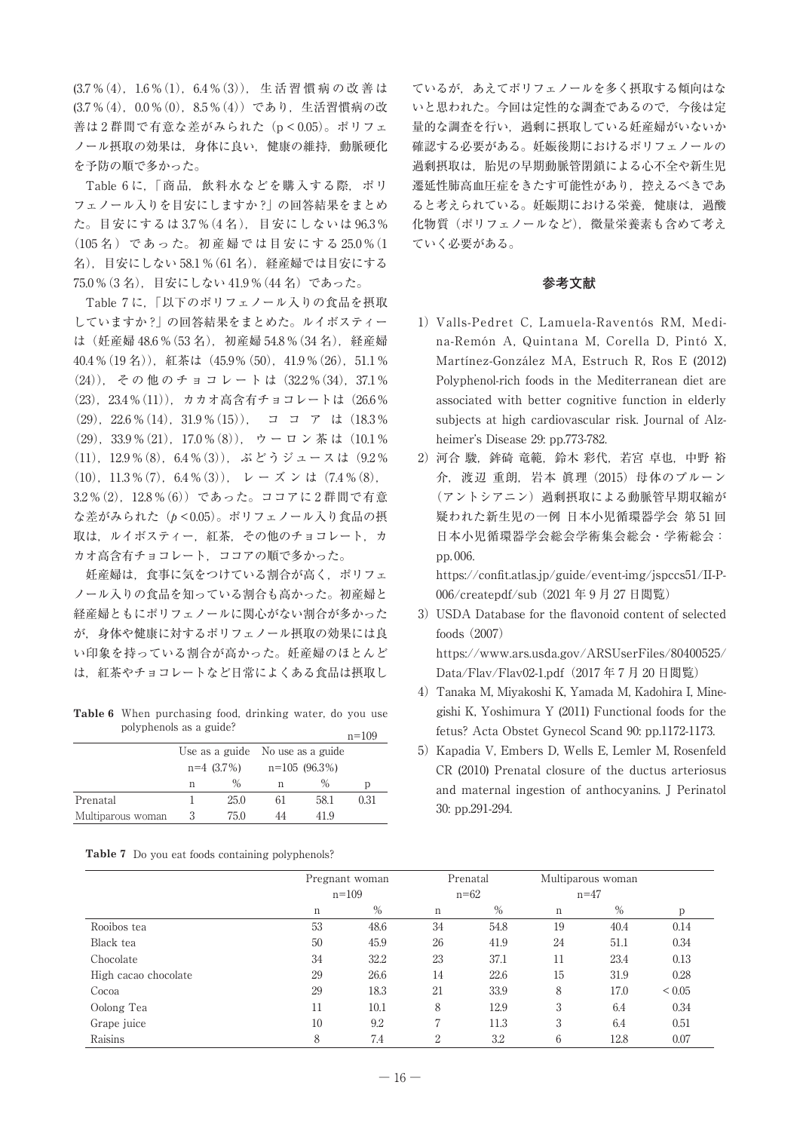(3.7 %(4),1.6 %(1),6.4 %(3)), 生 活 習 慣 病 の 改 善 は (3.7 %(4),0.0 %(0),8.5 %(4))であり,生活習慣病の改 善は2群間で有意な差がみられた (p < 0.05)。ポリフェ ノール摂取の効果は,身体に良い,健康の維持,動脈硬化 を予防の順で多かった。

Table 6 に,「商品,飲料水などを購入する際,ポリ フェノール入りを目安にしますか ?」 の回答結果をまとめ た。目安にするは 3.7 %(4 名),目安にしないは 96.3 % (105 名 ) で あ っ た。 初 産 婦 で は 目 安 に す る 25.0 %(1 名),目安にしない 58.1 %(61 名),経産婦では目安にする 75.0 %(3 名),目安にしない 41.9 %(44 名)であった。

Table 7 に,「以下のポリフェノール入りの食品を摂取 していますか ?」 の回答結果をまとめた。ルイボスティー は(妊産婦 48.6 %(53 名),初産婦 54.8 %(34 名),経産婦 40.4 % (19 名)), 紅茶は (45.9% (50), 41.9 % (26), 51.1 % (24)), その他のチョコレートは(32.2%(34), 37.1% (23), 23.4 % (11)), カカオ高含有チョコレートは (26.6 % (29),  $22.6\%$  (14),  $31.9\%$  (15)),  $\exists$   $\exists$   $\forall$  it (18.3%)  $(29)$ , 33.9 % $(21)$ , 17.0 % $(8)$ ), ウーロン茶は $(10.1\%$ (11),12.9 %(8),6.4 %(3)),ぶどうジュースは(9.2 % (10), 11.3 % (7), 6.4 % (3)), レーズンは(7.4 % (8), 3.2 %(2),12.8 %(6))であった。ココアに 2 群間で有意 な差がみられた(p<0.05)。ポリフェノール入り食品の摂 取は、ルイボスティー,紅茶,その他のチョコレート,カ カオ高含有チョコレート,ココアの順で多かった。

妊産婦は、食事に気をつけている割合が高く、ポリフェ ノール入りの食品を知っている割合も高かった。初産婦と 経産婦ともにポリフェノールに関心がない割合が多かった が,身体や健康に対するポリフェノール摂取の効果には良 い印象を持っている割合が高かった。妊産婦のほとんど は,紅茶やチョコレートなど日常によくある食品は摂取し

**Table 6** When purchasing food, drinking water, do you use polyphenols as a guide?

|                   |              |      |                                  |      | $n = 109$ |
|-------------------|--------------|------|----------------------------------|------|-----------|
|                   |              |      | Use as a guide No use as a guide |      |           |
|                   | $n=4$ (3.7%) |      | $n=105(96.3\%)$                  |      |           |
|                   | n            | $\%$ | n                                | $\%$ | p         |
| Prenatal          |              | 25.0 | 61                               | 58.1 | 0.31      |
| Multiparous woman | 3            | 75.0 | 44                               | 419  |           |

|  |  |  |  | <b>Table 7</b> Do you eat foods containing polyphenols? |
|--|--|--|--|---------------------------------------------------------|
|--|--|--|--|---------------------------------------------------------|

ているが,あえてポリフェノールを多く摂取する傾向はな いと思われた。今回は定性的な調査であるので,今後は定 量的な調査を行い,過剰に摂取している妊産婦がいないか 確認する必要がある。妊娠後期におけるポリフェノールの 過剰摂取は,胎児の早期動脈管閉鎖による心不全や新生児 遷延性肺高血圧症をきたす可能性があり、控えるべきであ ると考えられている。妊娠期における栄養,健康は,過酸 化物質(ポリフェノールなど), 微量栄養素も含めて考え ていく必要がある。

#### **参考文献**

- 1) Valls-Pedret C, Lamuela-Raventós RM, Medina-Remón A, Quintana M, Corella D, Pintó X, Martínez-González MA, Estruch R, Ros E (2012) Polyphenol-rich foods in the Mediterranean diet are associated with better cognitive function in elderly subjects at high cardiovascular risk. Journal of Alzheimer's Disease 29: pp.773-782.
- 2) 河合 駿, 鉾碕 竜範, 鈴木 彩代, 若宮 卓也, 中野 裕 介,渡辺 重朗,岩本 眞理 (2015)母体のプルーン (アントシアニン)過剰摂取による動脈管早期収縮が 疑われた新生児の一例 日本小児循環器学会 第 51 回 日本小児循環器学会総会学術集会総会・学術総会: pp. 006.

https://confit.atlas.jp/guide/event-img/jspccs51/II-P-006/createpdf/sub (2021 年 9 月 27 日閲覧)

- 3)USDA Database for the flavonoid content of selected foods (2007) https://www.ars.usda.gov/ARSUserFiles/80400525/ Data/Flav/Flav02-1.pdf(2017 年 7 月 20 日閲覧)
- 4)Tanaka M, Miyakoshi K, Yamada M, Kadohira I, Minegishi K, Yoshimura Y (2011) Functional foods for the fetus? Acta Obstet Gynecol Scand 90: pp.1172-1173.
- 5) Kapadia V, Embers D, Wells E, Lemler M, Rosenfeld CR (2010) Prenatal closure of the ductus arteriosus and maternal ingestion of anthocyanins. J Perinatol 30: pp.291-294.

|                      | Pregnant woman<br>$n = 109$ |      |    | Prenatal<br>$n=62$ |        | Multiparous woman<br>$n = 47$ |            |
|----------------------|-----------------------------|------|----|--------------------|--------|-------------------------------|------------|
|                      | $\mathbf n$                 | %    | n  | %                  | $\,$ n | %                             | p          |
| Rooibos tea          | 53                          | 48.6 | 34 | 54.8               | 19     | 40.4                          | 0.14       |
| Black tea            | 50                          | 45.9 | 26 | 41.9               | 24     | 51.1                          | 0.34       |
| Chocolate            | 34                          | 32.2 | 23 | 37.1               | 11     | 23.4                          | 0.13       |
| High cacao chocolate | 29                          | 26.6 | 14 | 22.6               | 15     | 31.9                          | 0.28       |
| Cocoa                | 29                          | 18.3 | 21 | 33.9               | 8      | 17.0                          | ${}< 0.05$ |
| Oolong Tea           | 11                          | 10.1 | 8  | 12.9               | 3      | 6.4                           | 0.34       |
| Grape juice          | 10                          | 9.2  | 7  | 11.3               | 3      | 6.4                           | 0.51       |
| Raisins              | 8                           | 7.4  | 2  | 3.2                | 6      | 12.8                          | 0.07       |